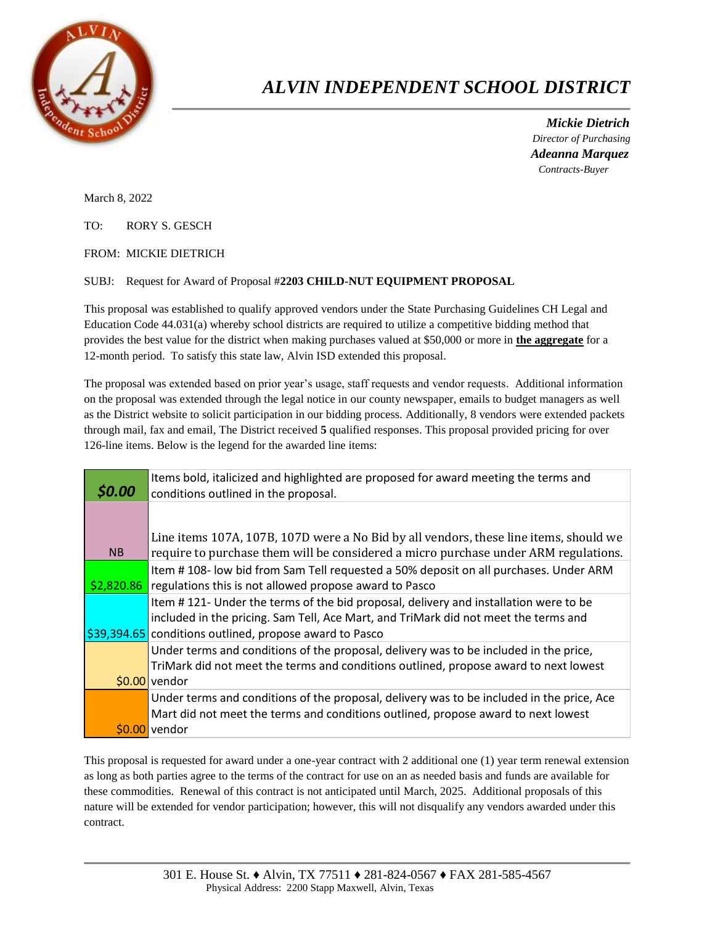

## *ALVIN INDEPENDENT SCHOOL DISTRICT*

 *Mickie Dietrich Director of Purchasing Adeanna Marquez Contracts-Buyer*

March 8, 2022

TO: RORY S. GESCH

FROM: MICKIE DIETRICH

## SUBJ: Request for Award of Proposal #**2203 CHILD-NUT EQUIPMENT PROPOSAL**

This proposal was established to qualify approved vendors under the State Purchasing Guidelines CH Legal and Education Code 44.031(a) whereby school districts are required to utilize a competitive bidding method that provides the best value for the district when making purchases valued at \$50,000 or more in **the aggregate** for a 12-month period. To satisfy this state law, Alvin ISD extended this proposal.

The proposal was extended based on prior year's usage, staff requests and vendor requests. Additional information on the proposal was extended through the legal notice in our county newspaper, emails to budget managers as well as the District website to solicit participation in our bidding process. Additionally, 8 vendors were extended packets through mail, fax and email, The District received **5** qualified responses. This proposal provided pricing for over 126-line items. Below is the legend for the awarded line items:

| \$0.00 | Items bold, italicized and highlighted are proposed for award meeting the terms and<br>conditions outlined in the proposal.                                                                                                                        |
|--------|----------------------------------------------------------------------------------------------------------------------------------------------------------------------------------------------------------------------------------------------------|
| NB     | Line items 107A, 107B, 107D were a No Bid by all vendors, these line items, should we<br>require to purchase them will be considered a micro purchase under ARM regulations.                                                                       |
|        | Item #108- low bid from Sam Tell requested a 50% deposit on all purchases. Under ARM<br>$\frac{22,820.86}{2}$ regulations this is not allowed propose award to Pasco                                                                               |
|        | Item #121- Under the terms of the bid proposal, delivery and installation were to be<br>included in the pricing. Sam Tell, Ace Mart, and TriMark did not meet the terms and<br>$\frac{1}{2}$ 39,394.65 conditions outlined, propose award to Pasco |
|        | Under terms and conditions of the proposal, delivery was to be included in the price,<br>TriMark did not meet the terms and conditions outlined, propose award to next lowest<br>$$0.00$ vendor                                                    |
|        | Under terms and conditions of the proposal, delivery was to be included in the price, Ace<br>Mart did not meet the terms and conditions outlined, propose award to next lowest<br>\$0.00 vendor                                                    |

This proposal is requested for award under a one-year contract with 2 additional one (1) year term renewal extension as long as both parties agree to the terms of the contract for use on an as needed basis and funds are available for these commodities. Renewal of this contract is not anticipated until March, 2025. Additional proposals of this nature will be extended for vendor participation; however, this will not disqualify any vendors awarded under this contract.